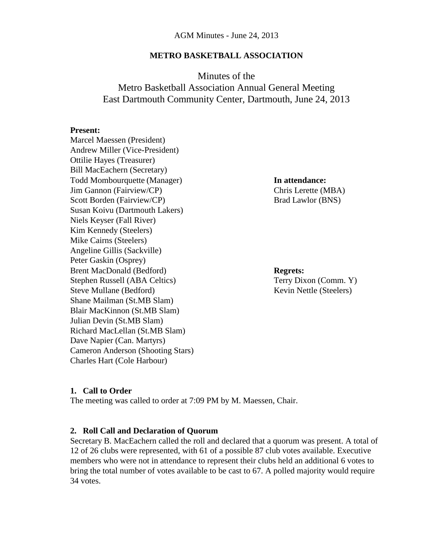### **METRO BASKETBALL ASSOCIATION**

# Minutes of the Metro Basketball Association Annual General Meeting East Dartmouth Community Center, Dartmouth, June 24, 2013

#### **Present:**

Marcel Maessen (President) Andrew Miller (Vice-President) Ottilie Hayes (Treasurer) Bill MacEachern (Secretary) Todd Mombourquette (Manager) **In attendance:** Jim Gannon (Fairview/CP) Chris Lerette (MBA) Scott Borden (Fairview/CP) Brad Lawlor (BNS) Susan Koivu (Dartmouth Lakers) Niels Keyser (Fall River) Kim Kennedy (Steelers) Mike Cairns (Steelers) Angeline Gillis (Sackville) Peter Gaskin (Osprey) Brent MacDonald (Bedford) **Regrets:** Stephen Russell (ABA Celtics) Terry Dixon (Comm. Y) Steve Mullane (Bedford) Steve Mullane (Bedford) Kevin Nettle (Steelers) Shane Mailman (St.MB Slam) Blair MacKinnon (St.MB Slam) Julian Devin (St.MB Slam) Richard MacLellan (St.MB Slam) Dave Napier (Can. Martyrs) Cameron Anderson (Shooting Stars) Charles Hart (Cole Harbour)

#### **1. Call to Order**

The meeting was called to order at 7:09 PM by M. Maessen, Chair.

#### **2. Roll Call and Declaration of Quorum**

Secretary B. MacEachern called the roll and declared that a quorum was present. A total of 12 of 26 clubs were represented, with 61 of a possible 87 club votes available. Executive members who were not in attendance to represent their clubs held an additional 6 votes to bring the total number of votes available to be cast to 67. A polled majority would require 34 votes.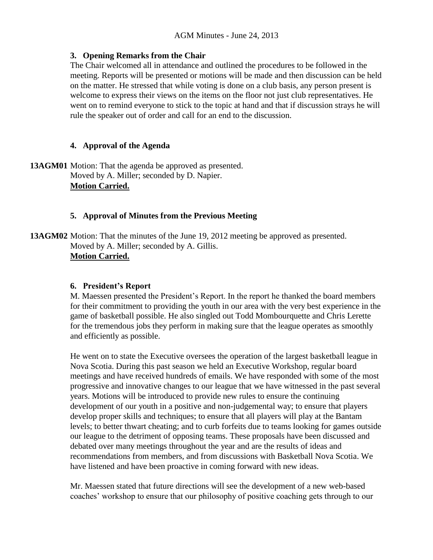## **3. Opening Remarks from the Chair**

The Chair welcomed all in attendance and outlined the procedures to be followed in the meeting. Reports will be presented or motions will be made and then discussion can be held on the matter. He stressed that while voting is done on a club basis, any person present is welcome to express their views on the items on the floor not just club representatives. He went on to remind everyone to stick to the topic at hand and that if discussion strays he will rule the speaker out of order and call for an end to the discussion.

# **4. Approval of the Agenda**

**13AGM01** Motion: That the agenda be approved as presented. Moved by A. Miller; seconded by D. Napier. **Motion Carried.**

# **5. Approval of Minutes from the Previous Meeting**

**13AGM02** Motion: That the minutes of the June 19, 2012 meeting be approved as presented. Moved by A. Miller; seconded by A. Gillis. **Motion Carried.**

## **6. President's Report**

M. Maessen presented the President's Report. In the report he thanked the board members for their commitment to providing the youth in our area with the very best experience in the game of basketball possible. He also singled out Todd Mombourquette and Chris Lerette for the tremendous jobs they perform in making sure that the league operates as smoothly and efficiently as possible.

He went on to state the Executive oversees the operation of the largest basketball league in Nova Scotia. During this past season we held an Executive Workshop, regular board meetings and have received hundreds of emails. We have responded with some of the most progressive and innovative changes to our league that we have witnessed in the past several years. Motions will be introduced to provide new rules to ensure the continuing development of our youth in a positive and non-judgemental way; to ensure that players develop proper skills and techniques; to ensure that all players will play at the Bantam levels; to better thwart cheating; and to curb forfeits due to teams looking for games outside our league to the detriment of opposing teams. These proposals have been discussed and debated over many meetings throughout the year and are the results of ideas and recommendations from members, and from discussions with Basketball Nova Scotia. We have listened and have been proactive in coming forward with new ideas.

Mr. Maessen stated that future directions will see the development of a new web-based coaches' workshop to ensure that our philosophy of positive coaching gets through to our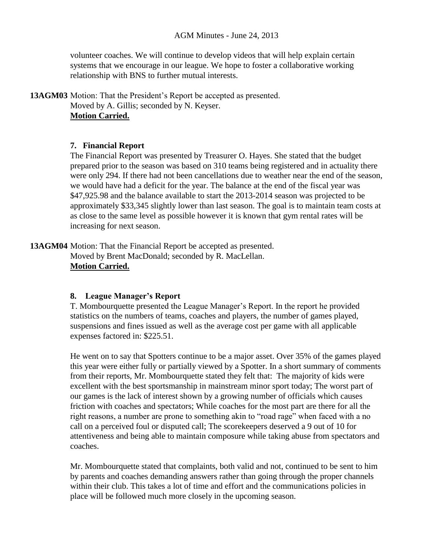volunteer coaches. We will continue to develop videos that will help explain certain systems that we encourage in our league. We hope to foster a collaborative working relationship with BNS to further mutual interests.

**13AGM03** Motion: That the President's Report be accepted as presented. Moved by A. Gillis; seconded by N. Keyser. **Motion Carried.**

### **7. Financial Report**

The Financial Report was presented by Treasurer O. Hayes. She stated that the budget prepared prior to the season was based on 310 teams being registered and in actuality there were only 294. If there had not been cancellations due to weather near the end of the season, we would have had a deficit for the year. The balance at the end of the fiscal year was \$47,925.98 and the balance available to start the 2013-2014 season was projected to be approximately \$33,345 slightly lower than last season. The goal is to maintain team costs at as close to the same level as possible however it is known that gym rental rates will be increasing for next season.

**13AGM04** Motion: That the Financial Report be accepted as presented. Moved by Brent MacDonald; seconded by R. MacLellan. **Motion Carried.**

#### **8. League Manager's Report**

T. Mombourquette presented the League Manager's Report. In the report he provided statistics on the numbers of teams, coaches and players, the number of games played, suspensions and fines issued as well as the average cost per game with all applicable expenses factored in: \$225.51.

He went on to say that Spotters continue to be a major asset. Over 35% of the games played this year were either fully or partially viewed by a Spotter. In a short summary of comments from their reports, Mr. Mombourquette stated they felt that: The majority of kids were excellent with the best sportsmanship in mainstream minor sport today; The worst part of our games is the lack of interest shown by a growing number of officials which causes friction with coaches and spectators; While coaches for the most part are there for all the right reasons, a number are prone to something akin to "road rage" when faced with a no call on a perceived foul or disputed call; The scorekeepers deserved a 9 out of 10 for attentiveness and being able to maintain composure while taking abuse from spectators and coaches.

Mr. Mombourquette stated that complaints, both valid and not, continued to be sent to him by parents and coaches demanding answers rather than going through the proper channels within their club. This takes a lot of time and effort and the communications policies in place will be followed much more closely in the upcoming season.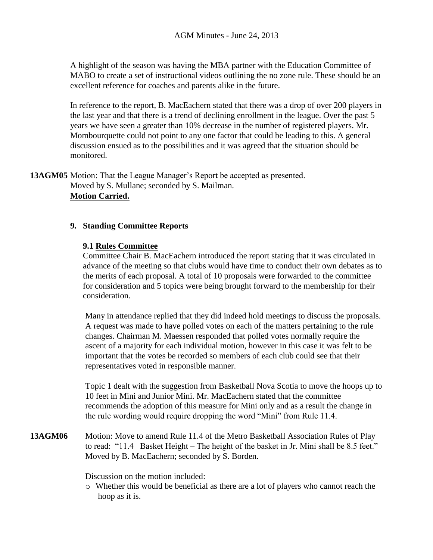A highlight of the season was having the MBA partner with the Education Committee of MABO to create a set of instructional videos outlining the no zone rule. These should be an excellent reference for coaches and parents alike in the future.

In reference to the report, B. MacEachern stated that there was a drop of over 200 players in the last year and that there is a trend of declining enrollment in the league. Over the past 5 years we have seen a greater than 10% decrease in the number of registered players. Mr. Mombourquette could not point to any one factor that could be leading to this. A general discussion ensued as to the possibilities and it was agreed that the situation should be monitored.

**13AGM05** Motion: That the League Manager's Report be accepted as presented. Moved by S. Mullane; seconded by S. Mailman. **Motion Carried.**

#### **9. Standing Committee Reports**

#### **9.1 Rules Committee**

Committee Chair B. MacEachern introduced the report stating that it was circulated in advance of the meeting so that clubs would have time to conduct their own debates as to the merits of each proposal. A total of 10 proposals were forwarded to the committee for consideration and 5 topics were being brought forward to the membership for their consideration.

Many in attendance replied that they did indeed hold meetings to discuss the proposals. A request was made to have polled votes on each of the matters pertaining to the rule changes. Chairman M. Maessen responded that polled votes normally require the ascent of a majority for each individual motion, however in this case it was felt to be important that the votes be recorded so members of each club could see that their representatives voted in responsible manner.

Topic 1 dealt with the suggestion from Basketball Nova Scotia to move the hoops up to 10 feet in Mini and Junior Mini. Mr. MacEachern stated that the committee recommends the adoption of this measure for Mini only and as a result the change in the rule wording would require dropping the word "Mini" from Rule 11.4.

**13AGM06** Motion: Move to amend Rule 11.4 of the Metro Basketball Association Rules of Play to read: "11.4 Basket Height – The height of the basket in Jr. Mini shall be 8.5 feet." Moved by B. MacEachern; seconded by S. Borden.

Discussion on the motion included:

o Whether this would be beneficial as there are a lot of players who cannot reach the hoop as it is.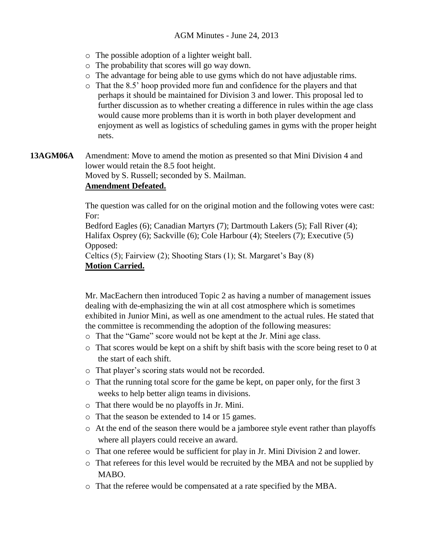- o The possible adoption of a lighter weight ball.
- o The probability that scores will go way down.
- o The advantage for being able to use gyms which do not have adjustable rims.
- o That the 8.5' hoop provided more fun and confidence for the players and that perhaps it should be maintained for Division 3 and lower. This proposal led to further discussion as to whether creating a difference in rules within the age class would cause more problems than it is worth in both player development and enjoyment as well as logistics of scheduling games in gyms with the proper height nets.
- **13AGM06A** Amendment: Move to amend the motion as presented so that Mini Division 4 and lower would retain the 8.5 foot height.

Moved by S. Russell; seconded by S. Mailman.

### **Amendment Defeated.**

The question was called for on the original motion and the following votes were cast: For:

Bedford Eagles (6); Canadian Martyrs (7); Dartmouth Lakers (5); Fall River (4); Halifax Osprey (6); Sackville (6); Cole Harbour (4); Steelers (7); Executive (5) Opposed:

Celtics (5); Fairview (2); Shooting Stars (1); St. Margaret's Bay (8) **Motion Carried.**

Mr. MacEachern then introduced Topic 2 as having a number of management issues dealing with de-emphasizing the win at all cost atmosphere which is sometimes exhibited in Junior Mini, as well as one amendment to the actual rules. He stated that the committee is recommending the adoption of the following measures:

- o That the "Game" score would not be kept at the Jr. Mini age class.
- o That scores would be kept on a shift by shift basis with the score being reset to 0 at the start of each shift.
- o That player's scoring stats would not be recorded.
- o That the running total score for the game be kept, on paper only, for the first 3 weeks to help better align teams in divisions.
- o That there would be no playoffs in Jr. Mini.
- o That the season be extended to 14 or 15 games.
- o At the end of the season there would be a jamboree style event rather than playoffs where all players could receive an award.
- o That one referee would be sufficient for play in Jr. Mini Division 2 and lower.
- o That referees for this level would be recruited by the MBA and not be supplied by MABO.
- o That the referee would be compensated at a rate specified by the MBA.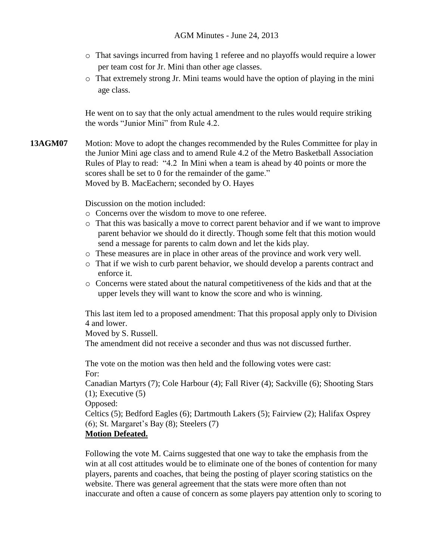- o That savings incurred from having 1 referee and no playoffs would require a lower per team cost for Jr. Mini than other age classes.
- o That extremely strong Jr. Mini teams would have the option of playing in the mini age class.

He went on to say that the only actual amendment to the rules would require striking the words "Junior Mini" from Rule 4.2.

**13AGM07** Motion: Move to adopt the changes recommended by the Rules Committee for play in the Junior Mini age class and to amend Rule 4.2 of the Metro Basketball Association Rules of Play to read: "4.2 In Mini when a team is ahead by 40 points or more the scores shall be set to 0 for the remainder of the game." Moved by B. MacEachern; seconded by O. Hayes

Discussion on the motion included:

- o Concerns over the wisdom to move to one referee.
- o That this was basically a move to correct parent behavior and if we want to improve parent behavior we should do it directly. Though some felt that this motion would send a message for parents to calm down and let the kids play.
- o These measures are in place in other areas of the province and work very well.
- o That if we wish to curb parent behavior, we should develop a parents contract and enforce it.
- o Concerns were stated about the natural competitiveness of the kids and that at the upper levels they will want to know the score and who is winning.

This last item led to a proposed amendment: That this proposal apply only to Division 4 and lower.

Moved by S. Russell.

The amendment did not receive a seconder and thus was not discussed further.

The vote on the motion was then held and the following votes were cast: For:

Canadian Martyrs (7); Cole Harbour (4); Fall River (4); Sackville (6); Shooting Stars  $(1)$ ; Executive  $(5)$ 

Opposed:

Celtics (5); Bedford Eagles (6); Dartmouth Lakers (5); Fairview (2); Halifax Osprey (6); St. Margaret's Bay (8); Steelers (7)

## **Motion Defeated.**

Following the vote M. Cairns suggested that one way to take the emphasis from the win at all cost attitudes would be to eliminate one of the bones of contention for many players, parents and coaches, that being the posting of player scoring statistics on the website. There was general agreement that the stats were more often than not inaccurate and often a cause of concern as some players pay attention only to scoring to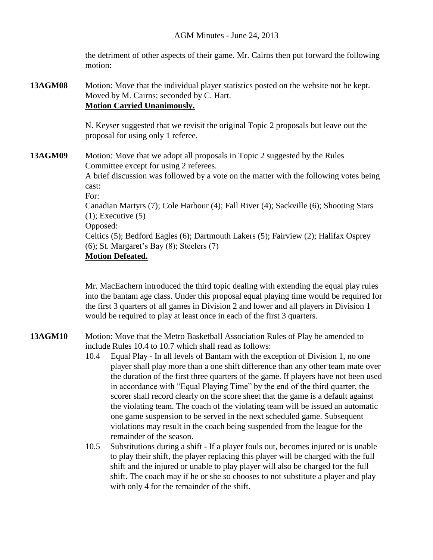the detriment of other aspects of their game. Mr. Cairns then put forward the following motion:

# **13AGM08** Motion: Move that the individual player statistics posted on the website not be kept. Moved by M. Cairns; seconded by C. Hart. **Motion Carried Unanimously.**

N. Keyser suggested that we revisit the original Topic 2 proposals but leave out the proposal for using only 1 referee.

**13AGM09** Motion: Move that we adopt all proposals in Topic 2 suggested by the Rules Committee except for using 2 referees.

> A brief discussion was followed by a vote on the matter with the following votes being cast:

For:

Canadian Martyrs (7); Cole Harbour (4); Fall River (4); Sackville (6); Shooting Stars  $(1)$ ; Executive  $(5)$ 

Opposed:

Celtics (5); Bedford Eagles (6); Dartmouth Lakers (5); Fairview (2); Halifax Osprey  $(6)$ ; St. Margaret's Bay  $(8)$ ; Steelers  $(7)$ 

```
Motion Defeated.
```
Mr. MacEachern introduced the third topic dealing with extending the equal play rules into the bantam age class. Under this proposal equal playing time would be required for the first 3 quarters of all games in Division 2 and lower and all players in Division 1 would be required to play at least once in each of the first 3 quarters.

- **13AGM10** Motion: Move that the Metro Basketball Association Rules of Play be amended to include Rules 10.4 to 10.7 which shall read as follows:
	- 10.4 Equal Play In all levels of Bantam with the exception of Division 1, no one player shall play more than a one shift difference than any other team mate over the duration of the first three quarters of the game. If players have not been used in accordance with "Equal Playing Time" by the end of the third quarter, the scorer shall record clearly on the score sheet that the game is a default against the violating team. The coach of the violating team will be issued an automatic one game suspension to be served in the next scheduled game. Subsequent violations may result in the coach being suspended from the league for the remainder of the season.
	- 10.5 Substitutions during a shift If a player fouls out, becomes injured or is unable to play their shift, the player replacing this player will be charged with the full shift and the injured or unable to play player will also be charged for the full shift. The coach may if he or she so chooses to not substitute a player and play with only 4 for the remainder of the shift.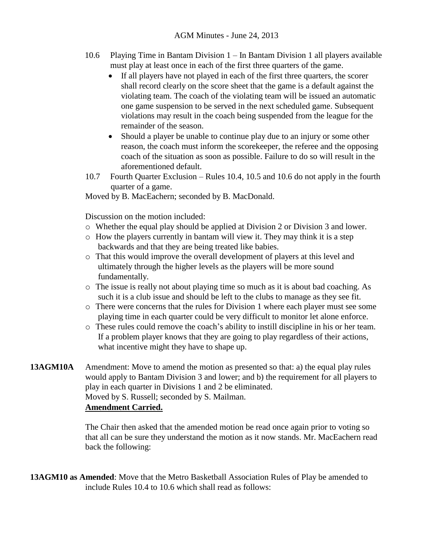- 10.6 Playing Time in Bantam Division 1 In Bantam Division 1 all players available must play at least once in each of the first three quarters of the game.
	- If all players have not played in each of the first three quarters, the scorer shall record clearly on the score sheet that the game is a default against the violating team. The coach of the violating team will be issued an automatic one game suspension to be served in the next scheduled game. Subsequent violations may result in the coach being suspended from the league for the remainder of the season.
	- Should a player be unable to continue play due to an injury or some other reason, the coach must inform the scorekeeper, the referee and the opposing coach of the situation as soon as possible. Failure to do so will result in the aforementioned default.
- 10.7 Fourth Quarter Exclusion Rules 10.4, 10.5 and 10.6 do not apply in the fourth quarter of a game.

Moved by B. MacEachern; seconded by B. MacDonald.

Discussion on the motion included:

- o Whether the equal play should be applied at Division 2 or Division 3 and lower.
- o How the players currently in bantam will view it. They may think it is a step backwards and that they are being treated like babies.
- o That this would improve the overall development of players at this level and ultimately through the higher levels as the players will be more sound fundamentally.
- o The issue is really not about playing time so much as it is about bad coaching. As such it is a club issue and should be left to the clubs to manage as they see fit.
- o There were concerns that the rules for Division 1 where each player must see some playing time in each quarter could be very difficult to monitor let alone enforce.
- o These rules could remove the coach's ability to instill discipline in his or her team. If a problem player knows that they are going to play regardless of their actions, what incentive might they have to shape up.
- **13AGM10A** Amendment: Move to amend the motion as presented so that: a) the equal play rules would apply to Bantam Division 3 and lower; and b) the requirement for all players to play in each quarter in Divisions 1 and 2 be eliminated. Moved by S. Russell; seconded by S. Mailman. **Amendment Carried.**

The Chair then asked that the amended motion be read once again prior to voting so that all can be sure they understand the motion as it now stands. Mr. MacEachern read back the following:

**13AGM10 as Amended**: Move that the Metro Basketball Association Rules of Play be amended to include Rules 10.4 to 10.6 which shall read as follows: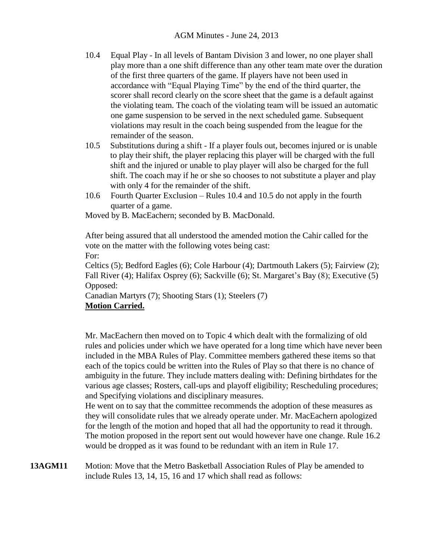- 10.4 Equal Play In all levels of Bantam Division 3 and lower, no one player shall play more than a one shift difference than any other team mate over the duration of the first three quarters of the game. If players have not been used in accordance with "Equal Playing Time" by the end of the third quarter, the scorer shall record clearly on the score sheet that the game is a default against the violating team. The coach of the violating team will be issued an automatic one game suspension to be served in the next scheduled game. Subsequent violations may result in the coach being suspended from the league for the remainder of the season.
- 10.5 Substitutions during a shift If a player fouls out, becomes injured or is unable to play their shift, the player replacing this player will be charged with the full shift and the injured or unable to play player will also be charged for the full shift. The coach may if he or she so chooses to not substitute a player and play with only 4 for the remainder of the shift.
- 10.6 Fourth Quarter Exclusion Rules 10.4 and 10.5 do not apply in the fourth quarter of a game.

Moved by B. MacEachern; seconded by B. MacDonald.

After being assured that all understood the amended motion the Cahir called for the vote on the matter with the following votes being cast: For:

Celtics (5); Bedford Eagles (6); Cole Harbour (4); Dartmouth Lakers (5); Fairview (2); Fall River (4); Halifax Osprey (6); Sackville (6); St. Margaret's Bay (8); Executive (5) Opposed:

Canadian Martyrs (7); Shooting Stars (1); Steelers (7) **Motion Carried.**

Mr. MacEachern then moved on to Topic 4 which dealt with the formalizing of old rules and policies under which we have operated for a long time which have never been included in the MBA Rules of Play. Committee members gathered these items so that each of the topics could be written into the Rules of Play so that there is no chance of ambiguity in the future. They include matters dealing with: Defining birthdates for the various age classes; Rosters, call-ups and playoff eligibility; Rescheduling procedures; and Specifying violations and disciplinary measures.

He went on to say that the committee recommends the adoption of these measures as they will consolidate rules that we already operate under. Mr. MacEachern apologized for the length of the motion and hoped that all had the opportunity to read it through. The motion proposed in the report sent out would however have one change. Rule 16.2 would be dropped as it was found to be redundant with an item in Rule 17.

**13AGM11** Motion: Move that the Metro Basketball Association Rules of Play be amended to include Rules 13, 14, 15, 16 and 17 which shall read as follows: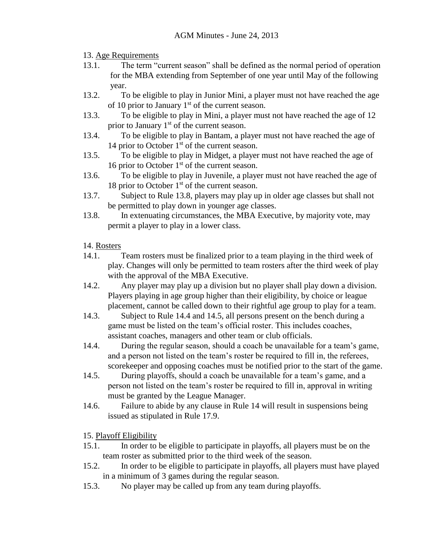## 13. Age Requirements

- 13.1. The term "current season" shall be defined as the normal period of operation for the MBA extending from September of one year until May of the following year.
- 13.2. To be eligible to play in Junior Mini, a player must not have reached the age of 10 prior to January  $1<sup>st</sup>$  of the current season.
- 13.3. To be eligible to play in Mini, a player must not have reached the age of 12 prior to January  $1<sup>st</sup>$  of the current season.
- 13.4. To be eligible to play in Bantam, a player must not have reached the age of 14 prior to October  $1<sup>st</sup>$  of the current season.
- 13.5. To be eligible to play in Midget, a player must not have reached the age of 16 prior to October  $1<sup>st</sup>$  of the current season.
- 13.6. To be eligible to play in Juvenile, a player must not have reached the age of 18 prior to October  $1<sup>st</sup>$  of the current season.
- 13.7. Subject to Rule 13.8, players may play up in older age classes but shall not be permitted to play down in younger age classes.
- 13.8. In extenuating circumstances, the MBA Executive, by majority vote, may permit a player to play in a lower class.

# 14. Rosters

- 14.1. Team rosters must be finalized prior to a team playing in the third week of play. Changes will only be permitted to team rosters after the third week of play with the approval of the MBA Executive.
- 14.2. Any player may play up a division but no player shall play down a division. Players playing in age group higher than their eligibility, by choice or league placement, cannot be called down to their rightful age group to play for a team.
- 14.3. Subject to Rule 14.4 and 14.5, all persons present on the bench during a game must be listed on the team's official roster. This includes coaches, assistant coaches, managers and other team or club officials.
- 14.4. During the regular season, should a coach be unavailable for a team's game, and a person not listed on the team's roster be required to fill in, the referees, scorekeeper and opposing coaches must be notified prior to the start of the game.
- 14.5. During playoffs, should a coach be unavailable for a team's game, and a person not listed on the team's roster be required to fill in, approval in writing must be granted by the League Manager.
- 14.6. Failure to abide by any clause in Rule 14 will result in suspensions being issued as stipulated in Rule 17.9.

# 15. Playoff Eligibility

- 15.1. In order to be eligible to participate in playoffs, all players must be on the team roster as submitted prior to the third week of the season.
- 15.2. In order to be eligible to participate in playoffs, all players must have played in a minimum of 3 games during the regular season.
- 15.3. No player may be called up from any team during playoffs.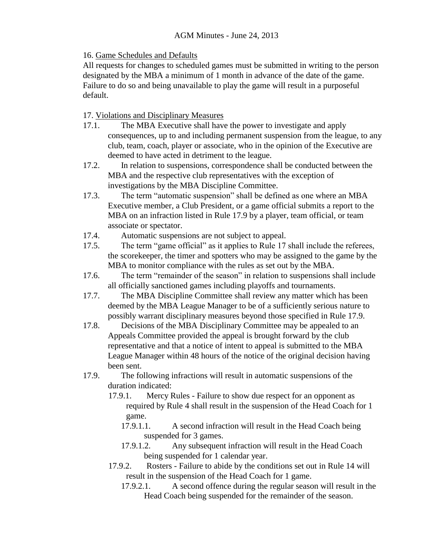16. Game Schedules and Defaults

All requests for changes to scheduled games must be submitted in writing to the person designated by the MBA a minimum of 1 month in advance of the date of the game. Failure to do so and being unavailable to play the game will result in a purposeful default.

17. Violations and Disciplinary Measures

- 17.1. The MBA Executive shall have the power to investigate and apply consequences, up to and including permanent suspension from the league, to any club, team, coach, player or associate, who in the opinion of the Executive are deemed to have acted in detriment to the league.
- 17.2. In relation to suspensions, correspondence shall be conducted between the MBA and the respective club representatives with the exception of investigations by the MBA Discipline Committee.
- 17.3. The term "automatic suspension" shall be defined as one where an MBA Executive member, a Club President, or a game official submits a report to the MBA on an infraction listed in Rule 17.9 by a player, team official, or team associate or spectator.
- 17.4. Automatic suspensions are not subject to appeal.
- 17.5. The term "game official" as it applies to Rule 17 shall include the referees, the scorekeeper, the timer and spotters who may be assigned to the game by the MBA to monitor compliance with the rules as set out by the MBA.
- 17.6. The term "remainder of the season" in relation to suspensions shall include all officially sanctioned games including playoffs and tournaments.
- 17.7. The MBA Discipline Committee shall review any matter which has been deemed by the MBA League Manager to be of a sufficiently serious nature to possibly warrant disciplinary measures beyond those specified in Rule 17.9.
- 17.8. Decisions of the MBA Disciplinary Committee may be appealed to an Appeals Committee provided the appeal is brought forward by the club representative and that a notice of intent to appeal is submitted to the MBA League Manager within 48 hours of the notice of the original decision having been sent.
- 17.9. The following infractions will result in automatic suspensions of the duration indicated:
	- 17.9.1. Mercy Rules Failure to show due respect for an opponent as required by Rule 4 shall result in the suspension of the Head Coach for 1 game.
		- 17.9.1.1. A second infraction will result in the Head Coach being suspended for 3 games.
		- 17.9.1.2. Any subsequent infraction will result in the Head Coach being suspended for 1 calendar year.
	- 17.9.2. Rosters Failure to abide by the conditions set out in Rule 14 will result in the suspension of the Head Coach for 1 game.
		- 17.9.2.1. A second offence during the regular season will result in the Head Coach being suspended for the remainder of the season.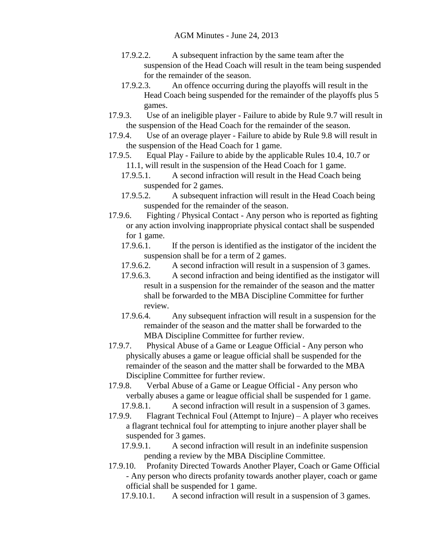- 17.9.2.2. A subsequent infraction by the same team after the suspension of the Head Coach will result in the team being suspended for the remainder of the season.
- 17.9.2.3. An offence occurring during the playoffs will result in the Head Coach being suspended for the remainder of the playoffs plus 5 games.
- 17.9.3. Use of an ineligible player Failure to abide by Rule 9.7 will result in the suspension of the Head Coach for the remainder of the season.
- 17.9.4. Use of an overage player Failure to abide by Rule 9.8 will result in the suspension of the Head Coach for 1 game.
- 17.9.5. Equal Play Failure to abide by the applicable Rules 10.4, 10.7 or 11.1, will result in the suspension of the Head Coach for 1 game.
	- 17.9.5.1. A second infraction will result in the Head Coach being suspended for 2 games.
	- 17.9.5.2. A subsequent infraction will result in the Head Coach being suspended for the remainder of the season.
- 17.9.6. Fighting / Physical Contact Any person who is reported as fighting or any action involving inappropriate physical contact shall be suspended for 1 game.
	- 17.9.6.1. If the person is identified as the instigator of the incident the suspension shall be for a term of 2 games.
	- 17.9.6.2. A second infraction will result in a suspension of 3 games.
	- 17.9.6.3. A second infraction and being identified as the instigator will result in a suspension for the remainder of the season and the matter shall be forwarded to the MBA Discipline Committee for further review.
	- 17.9.6.4. Any subsequent infraction will result in a suspension for the remainder of the season and the matter shall be forwarded to the MBA Discipline Committee for further review.
- 17.9.7. Physical Abuse of a Game or League Official Any person who physically abuses a game or league official shall be suspended for the remainder of the season and the matter shall be forwarded to the MBA Discipline Committee for further review.
- 17.9.8. Verbal Abuse of a Game or League Official Any person who verbally abuses a game or league official shall be suspended for 1 game. 17.9.8.1. A second infraction will result in a suspension of 3 games.
- 17.9.9. Flagrant Technical Foul (Attempt to Injure) A player who receives a flagrant technical foul for attempting to injure another player shall be suspended for 3 games.
	- 17.9.9.1. A second infraction will result in an indefinite suspension pending a review by the MBA Discipline Committee.
- 17.9.10. Profanity Directed Towards Another Player, Coach or Game Official - Any person who directs profanity towards another player, coach or game official shall be suspended for 1 game.
	- 17.9.10.1. A second infraction will result in a suspension of 3 games.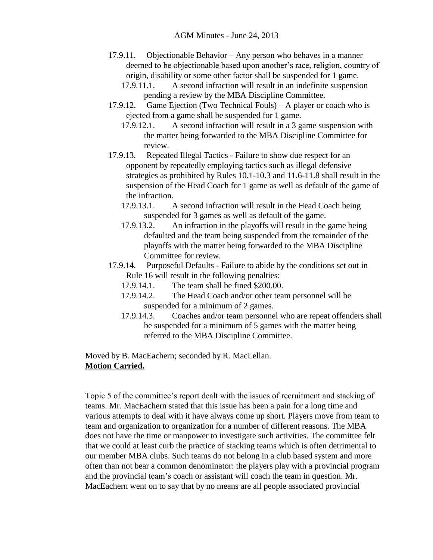- 17.9.11. Objectionable Behavior Any person who behaves in a manner deemed to be objectionable based upon another's race, religion, country of origin, disability or some other factor shall be suspended for 1 game.
	- 17.9.11.1. A second infraction will result in an indefinite suspension pending a review by the MBA Discipline Committee.
- 17.9.12. Game Ejection (Two Technical Fouls) A player or coach who is ejected from a game shall be suspended for 1 game.
	- 17.9.12.1. A second infraction will result in a 3 game suspension with the matter being forwarded to the MBA Discipline Committee for review.
- 17.9.13. Repeated Illegal Tactics Failure to show due respect for an opponent by repeatedly employing tactics such as illegal defensive strategies as prohibited by Rules 10.1-10.3 and 11.6-11.8 shall result in the suspension of the Head Coach for 1 game as well as default of the game of the infraction.
	- 17.9.13.1. A second infraction will result in the Head Coach being suspended for 3 games as well as default of the game.
	- 17.9.13.2. An infraction in the playoffs will result in the game being defaulted and the team being suspended from the remainder of the playoffs with the matter being forwarded to the MBA Discipline Committee for review.
- 17.9.14. Purposeful Defaults Failure to abide by the conditions set out in Rule 16 will result in the following penalties:
	- 17.9.14.1. The team shall be fined \$200.00.
	- 17.9.14.2. The Head Coach and/or other team personnel will be suspended for a minimum of 2 games.
	- 17.9.14.3. Coaches and/or team personnel who are repeat offenders shall be suspended for a minimum of 5 games with the matter being referred to the MBA Discipline Committee.

Moved by B. MacEachern; seconded by R. MacLellan. **Motion Carried.**

Topic 5 of the committee's report dealt with the issues of recruitment and stacking of teams. Mr. MacEachern stated that this issue has been a pain for a long time and various attempts to deal with it have always come up short. Players move from team to team and organization to organization for a number of different reasons. The MBA does not have the time or manpower to investigate such activities. The committee felt that we could at least curb the practice of stacking teams which is often detrimental to our member MBA clubs. Such teams do not belong in a club based system and more often than not bear a common denominator: the players play with a provincial program and the provincial team's coach or assistant will coach the team in question. Mr. MacEachern went on to say that by no means are all people associated provincial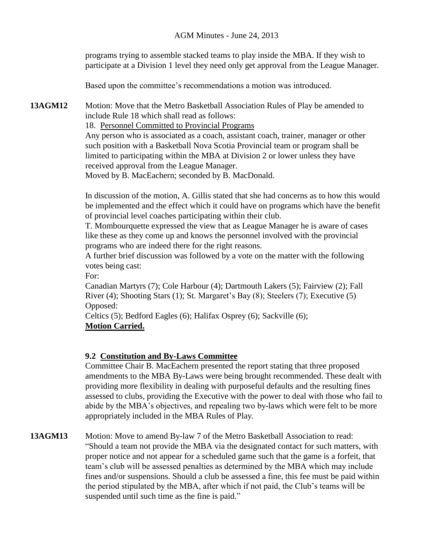programs trying to assemble stacked teams to play inside the MBA. If they wish to participate at a Division 1 level they need only get approval from the League Manager.

Based upon the committee's recommendations a motion was introduced.

**13AGM12** Motion: Move that the Metro Basketball Association Rules of Play be amended to include Rule 18 which shall read as follows:

18. Personnel Committed to Provincial Programs

Any person who is associated as a coach, assistant coach, trainer, manager or other such position with a Basketball Nova Scotia Provincial team or program shall be limited to participating within the MBA at Division 2 or lower unless they have received approval from the League Manager.

Moved by B. MacEachern; seconded by B. MacDonald.

In discussion of the motion, A. Gillis stated that she had concerns as to how this would be implemented and the effect which it could have on programs which have the benefit of provincial level coaches participating within their club.

T. Mombourquette expressed the view that as League Manager he is aware of cases like these as they come up and knows the personnel involved with the provincial programs who are indeed there for the right reasons.

A further brief discussion was followed by a vote on the matter with the following votes being cast:

For:

Canadian Martyrs (7); Cole Harbour (4); Dartmouth Lakers (5); Fairview (2); Fall River (4); Shooting Stars (1); St. Margaret's Bay (8); Steelers (7); Executive (5) Opposed:

Celtics (5); Bedford Eagles (6); Halifax Osprey (6); Sackville (6); **Motion Carried.**

## **9.2 Constitution and By-Laws Committee**

Committee Chair B. MacEachern presented the report stating that three proposed amendments to the MBA By-Laws were being brought recommended. These dealt with providing more flexibility in dealing with purposeful defaults and the resulting fines assessed to clubs, providing the Executive with the power to deal with those who fail to abide by the MBA's objectives, and repealing two by-laws which were felt to be more appropriately included in the MBA Rules of Play.

**13AGM13** Motion: Move to amend By-law 7 of the Metro Basketball Association to read: "Should a team not provide the MBA via the designated contact for such matters, with proper notice and not appear for a scheduled game such that the game is a forfeit, that team's club will be assessed penalties as determined by the MBA which may include fines and/or suspensions. Should a club be assessed a fine, this fee must be paid within the period stipulated by the MBA, after which if not paid, the Club's teams will be suspended until such time as the fine is paid."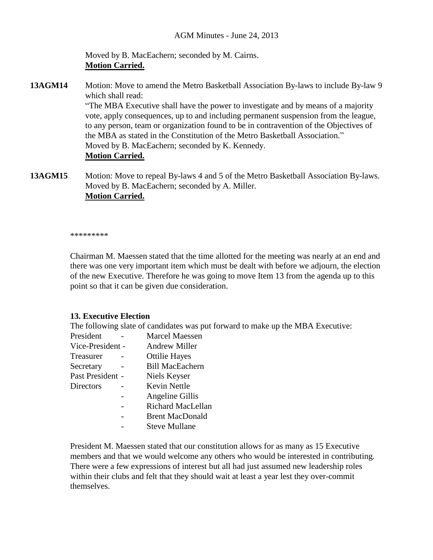Moved by B. MacEachern; seconded by M. Cairns. **Motion Carried.**

**13AGM14** Motion: Move to amend the Metro Basketball Association By-laws to include By-law 9 which shall read: "The MBA Executive shall have the power to investigate and by means of a majority vote, apply consequences, up to and including permanent suspension from the league, to any person, team or organization found to be in contravention of the Objectives of the MBA as stated in the Constitution of the Metro Basketball Association." Moved by B. MacEachern; seconded by K. Kennedy. **Motion Carried.**

**13AGM15** Motion: Move to repeal By-laws 4 and 5 of the Metro Basketball Association By-laws. Moved by B. MacEachern; seconded by A. Miller. **Motion Carried.**

\*\*\*\*\*\*\*\*\*

Chairman M. Maessen stated that the time allotted for the meeting was nearly at an end and there was one very important item which must be dealt with before we adjourn, the election of the new Executive. Therefore he was going to move Item 13 from the agenda up to this point so that it can be given due consideration.

#### **13. Executive Election**

The following slate of candidates was put forward to make up the MBA Executive:

| President        | Marcel Maessen         |
|------------------|------------------------|
| Vice-President - | <b>Andrew Miller</b>   |
| Treasurer        | <b>Ottilie Hayes</b>   |
| Secretary        | <b>Bill MacEachern</b> |
| Past President - | Niels Keyser           |
| Directors        | Kevin Nettle           |
|                  | Angeline Gillis        |
|                  | Richard MacLellan      |
|                  | <b>Brent MacDonald</b> |
|                  | <b>Steve Mullane</b>   |
|                  |                        |

President M. Maessen stated that our constitution allows for as many as 15 Executive members and that we would welcome any others who would be interested in contributing. There were a few expressions of interest but all had just assumed new leadership roles within their clubs and felt that they should wait at least a year lest they over-commit themselves.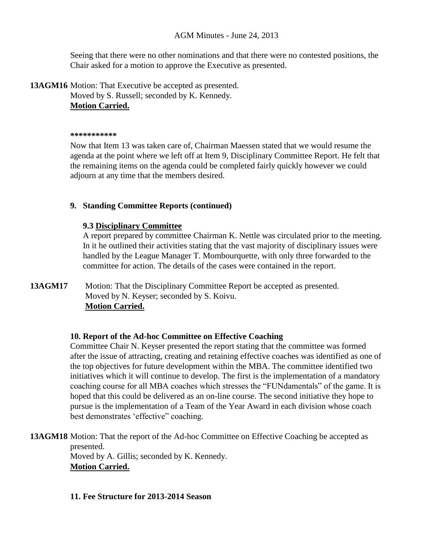### AGM Minutes - June 24, 2013

Seeing that there were no other nominations and that there were no contested positions, the Chair asked for a motion to approve the Executive as presented.

**13AGM16** Motion: That Executive be accepted as presented. Moved by S. Russell; seconded by K. Kennedy. **Motion Carried.**

#### **\*\*\*\*\*\*\*\*\*\*\***

Now that Item 13 was taken care of, Chairman Maessen stated that we would resume the agenda at the point where we left off at Item 9, Disciplinary Committee Report. He felt that the remaining items on the agenda could be completed fairly quickly however we could adjourn at any time that the members desired.

### **9. Standing Committee Reports (continued)**

### **9.3 Disciplinary Committee**

A report prepared by committee Chairman K. Nettle was circulated prior to the meeting. In it he outlined their activities stating that the vast majority of disciplinary issues were handled by the League Manager T. Mombourquette, with only three forwarded to the committee for action. The details of the cases were contained in the report.

# **13AGM17** Motion: That the Disciplinary Committee Report be accepted as presented. Moved by N. Keyser; seconded by S. Koivu. **Motion Carried.**

## **10. Report of the Ad-hoc Committee on Effective Coaching**

Committee Chair N. Keyser presented the report stating that the committee was formed after the issue of attracting, creating and retaining effective coaches was identified as one of the top objectives for future development within the MBA. The committee identified two initiatives which it will continue to develop. The first is the implementation of a mandatory coaching course for all MBA coaches which stresses the "FUNdamentals" of the game. It is hoped that this could be delivered as an on-line course. The second initiative they hope to pursue is the implementation of a Team of the Year Award in each division whose coach best demonstrates 'effective" coaching.

**13AGM18** Motion: That the report of the Ad-hoc Committee on Effective Coaching be accepted as presented.

Moved by A. Gillis; seconded by K. Kennedy. **Motion Carried.**

#### **11. Fee Structure for 2013-2014 Season**